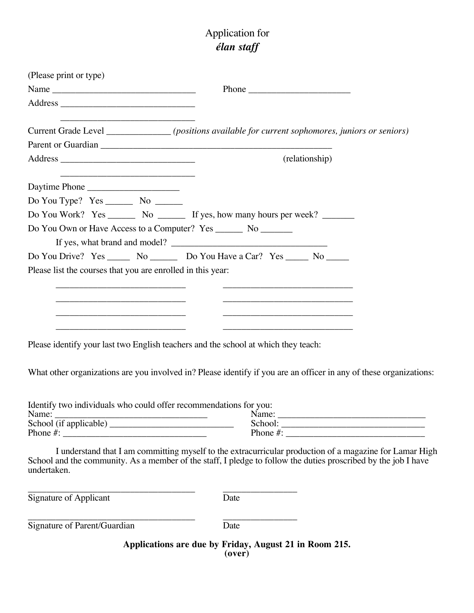## Application for *élan staff*

| (Please print or type)                                                                                                                                                                                                                                                                                                                             |                                                                                                                                                                                                                                                                                                                                                                                                   |
|----------------------------------------------------------------------------------------------------------------------------------------------------------------------------------------------------------------------------------------------------------------------------------------------------------------------------------------------------|---------------------------------------------------------------------------------------------------------------------------------------------------------------------------------------------------------------------------------------------------------------------------------------------------------------------------------------------------------------------------------------------------|
|                                                                                                                                                                                                                                                                                                                                                    | Phone $\frac{1}{\sqrt{1-\frac{1}{2}}\cdot\frac{1}{2}}$                                                                                                                                                                                                                                                                                                                                            |
|                                                                                                                                                                                                                                                                                                                                                    |                                                                                                                                                                                                                                                                                                                                                                                                   |
|                                                                                                                                                                                                                                                                                                                                                    | Current Grade Level ______________(positions available for current sophomores, juniors or seniors)                                                                                                                                                                                                                                                                                                |
|                                                                                                                                                                                                                                                                                                                                                    |                                                                                                                                                                                                                                                                                                                                                                                                   |
|                                                                                                                                                                                                                                                                                                                                                    | (relationship)                                                                                                                                                                                                                                                                                                                                                                                    |
| Daytime Phone                                                                                                                                                                                                                                                                                                                                      |                                                                                                                                                                                                                                                                                                                                                                                                   |
|                                                                                                                                                                                                                                                                                                                                                    |                                                                                                                                                                                                                                                                                                                                                                                                   |
|                                                                                                                                                                                                                                                                                                                                                    | Do You Work? Yes ________ No ________ If yes, how many hours per week? ________                                                                                                                                                                                                                                                                                                                   |
| Do You Own or Have Access to a Computer? Yes _______ No _______                                                                                                                                                                                                                                                                                    |                                                                                                                                                                                                                                                                                                                                                                                                   |
| If yes, what brand and model?                                                                                                                                                                                                                                                                                                                      |                                                                                                                                                                                                                                                                                                                                                                                                   |
| Do You Drive? Yes _______ No _________ Do You Have a Car? Yes ______ No ______                                                                                                                                                                                                                                                                     |                                                                                                                                                                                                                                                                                                                                                                                                   |
| Please list the courses that you are enrolled in this year:<br>the control of the control of the control of the control of the control of the control of<br>the control of the control of the control of the control of the control of the control of<br>the control of the control of the control of the control of the control of the control of | <u>and the second control of the second control of the second control of the second control of the second control of</u><br><u> 1989 - Johann John Stone, mars et al. (</u><br>the control of the control of the control of the control of the control of the control of<br><u> 1989 - Johann John Stone, markin sanadi ya kutoka mwaka wa 1989 - Amerika mwaka wa 1989 - Amerika mwaka wa 19</u> |
| Please identify your last two English teachers and the school at which they teach:                                                                                                                                                                                                                                                                 |                                                                                                                                                                                                                                                                                                                                                                                                   |
|                                                                                                                                                                                                                                                                                                                                                    | What other organizations are you involved in? Please identify if you are an officer in any of these organizations:                                                                                                                                                                                                                                                                                |
| Identify two individuals who could offer recommendations for you:<br>Name:                                                                                                                                                                                                                                                                         | Name:                                                                                                                                                                                                                                                                                                                                                                                             |
| undertaken.                                                                                                                                                                                                                                                                                                                                        | I understand that I am committing myself to the extracurricular production of a magazine for Lamar High<br>School and the community. As a member of the staff, I pledge to follow the duties proscribed by the job I have                                                                                                                                                                         |
| Signature of Applicant                                                                                                                                                                                                                                                                                                                             | Date                                                                                                                                                                                                                                                                                                                                                                                              |
| Signature of Parent/Guardian                                                                                                                                                                                                                                                                                                                       | Date                                                                                                                                                                                                                                                                                                                                                                                              |
|                                                                                                                                                                                                                                                                                                                                                    | Applications are due by Friday, August 21 in Room 215.<br>(over)                                                                                                                                                                                                                                                                                                                                  |